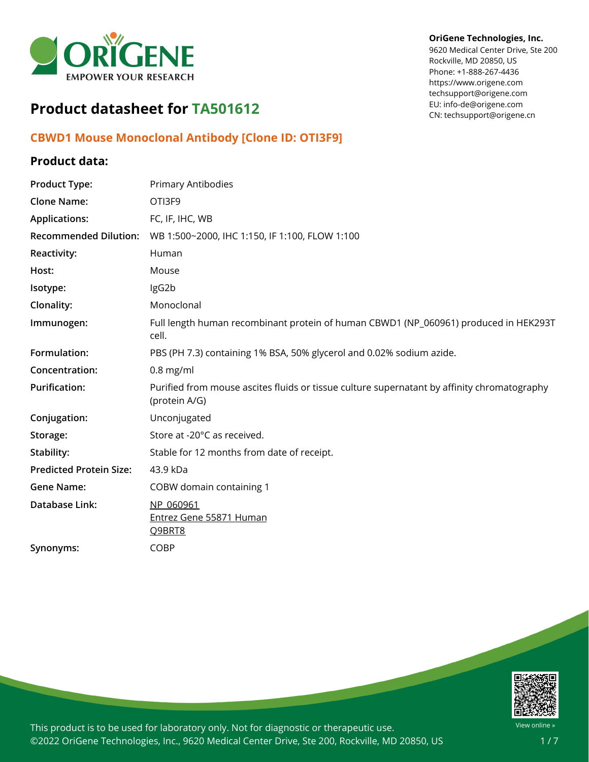

# **Product datasheet for TA501612**

## **CBWD1 Mouse Monoclonal Antibody [Clone ID: OTI3F9]**

### **Product data:**

| <b>Product Type:</b>           | <b>Primary Antibodies</b>                                                                                    |
|--------------------------------|--------------------------------------------------------------------------------------------------------------|
| <b>Clone Name:</b>             | OTI3F9                                                                                                       |
| <b>Applications:</b>           | FC, IF, IHC, WB                                                                                              |
| <b>Recommended Dilution:</b>   | WB 1:500~2000, IHC 1:150, IF 1:100, FLOW 1:100                                                               |
| Reactivity:                    | Human                                                                                                        |
| Host:                          | Mouse                                                                                                        |
| Isotype:                       | IgG2b                                                                                                        |
| Clonality:                     | Monoclonal                                                                                                   |
| Immunogen:                     | Full length human recombinant protein of human CBWD1 (NP_060961) produced in HEK293T<br>cell.                |
| Formulation:                   | PBS (PH 7.3) containing 1% BSA, 50% glycerol and 0.02% sodium azide.                                         |
| Concentration:                 | $0.8$ mg/ml                                                                                                  |
| <b>Purification:</b>           | Purified from mouse ascites fluids or tissue culture supernatant by affinity chromatography<br>(protein A/G) |
| Conjugation:                   | Unconjugated                                                                                                 |
| Storage:                       | Store at -20°C as received.                                                                                  |
| Stability:                     | Stable for 12 months from date of receipt.                                                                   |
| <b>Predicted Protein Size:</b> | 43.9 kDa                                                                                                     |
| <b>Gene Name:</b>              | COBW domain containing 1                                                                                     |
| Database Link:                 | NP 060961<br>Entrez Gene 55871 Human<br>Q9BRT8                                                               |
| Synonyms:                      | <b>COBP</b>                                                                                                  |



This product is to be used for laboratory only. Not for diagnostic or therapeutic use. ©2022 OriGene Technologies, Inc., 9620 Medical Center Drive, Ste 200, Rockville, MD 20850, US

#### **OriGene Technologies, Inc.**

9620 Medical Center Drive, Ste 200 Rockville, MD 20850, US Phone: +1-888-267-4436 https://www.origene.com techsupport@origene.com EU: info-de@origene.com CN: techsupport@origene.cn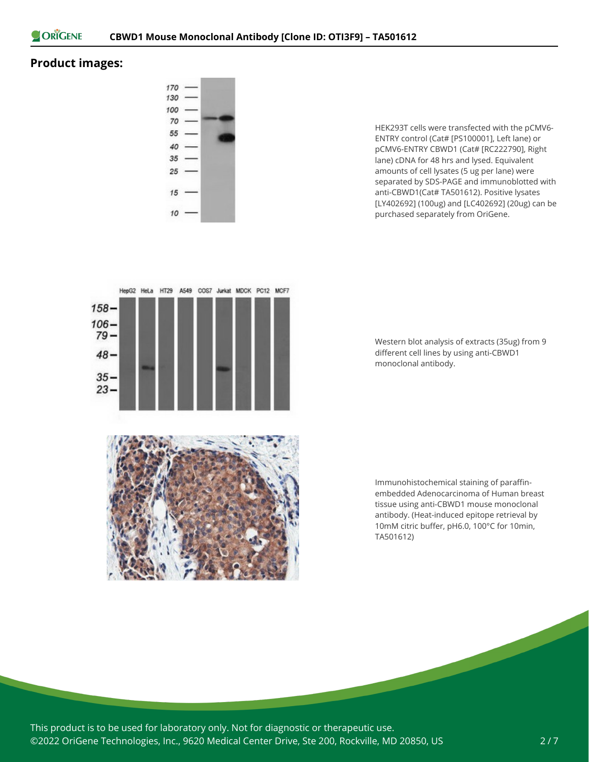

### **Product images:**



HEK293T cells were transfected with the pCMV6- ENTRY control (Cat# [PS100001], Left lane) or pCMV6-ENTRY CBWD1 (Cat# [RC222790], Right lane) cDNA for 48 hrs and lysed. Equivalent amounts of cell lysates (5 ug per lane) were separated by SDS-PAGE and immunoblotted with anti-CBWD1(Cat# TA501612). Positive lysates [LY402692] (100ug) and [LC402692] (20ug) can be purchased separately from OriGene.



Western blot analysis of extracts (35ug) from 9 different cell lines by using anti-CBWD1 monoclonal antibody.

Immunohistochemical staining of paraffinembedded Adenocarcinoma of Human breast tissue using anti-CBWD1 mouse monoclonal antibody. (Heat-induced epitope retrieval by 10mM citric buffer, pH6.0, 100°C for 10min, TA501612)

This product is to be used for laboratory only. Not for diagnostic or therapeutic use. ©2022 OriGene Technologies, Inc., 9620 Medical Center Drive, Ste 200, Rockville, MD 20850, US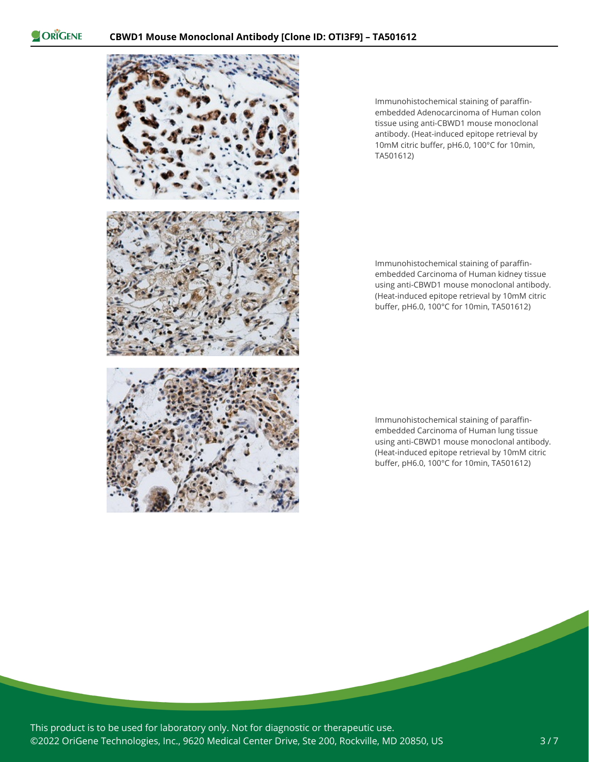

Immunohistochemical staining of paraffinembedded Adenocarcinoma of Human colon tissue using anti-CBWD1 mouse monoclonal antibody. (Heat-induced epitope retrieval by 10mM citric buffer, pH6.0, 100°C for 10min, TA501612)

Immunohistochemical staining of paraffinembedded Carcinoma of Human kidney tissue using anti-CBWD1 mouse monoclonal antibody. (Heat-induced epitope retrieval by 10mM citric buffer, pH6.0, 100°C for 10min, TA501612)

Immunohistochemical staining of paraffinembedded Carcinoma of Human lung tissue using anti-CBWD1 mouse monoclonal antibody. (Heat-induced epitope retrieval by 10mM citric buffer, pH6.0, 100°C for 10min, TA501612)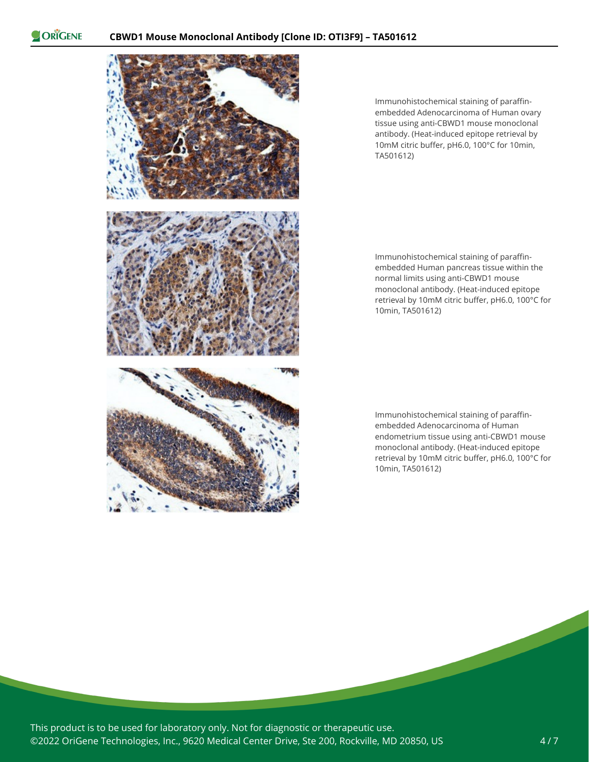

Immunohistochemical staining of paraffinembedded Adenocarcinoma of Human ovary tissue using anti-CBWD1 mouse monoclonal antibody. (Heat-induced epitope retrieval by 10mM citric buffer, pH6.0, 100°C for 10min, TA501612)

Immunohistochemical staining of paraffinembedded Human pancreas tissue within the normal limits using anti-CBWD1 mouse monoclonal antibody. (Heat-induced epitope retrieval by 10mM citric buffer, pH6.0, 100°C for 10min, TA501612)

Immunohistochemical staining of paraffinembedded Adenocarcinoma of Human endometrium tissue using anti-CBWD1 mouse monoclonal antibody. (Heat-induced epitope retrieval by 10mM citric buffer, pH6.0, 100°C for 10min, TA501612)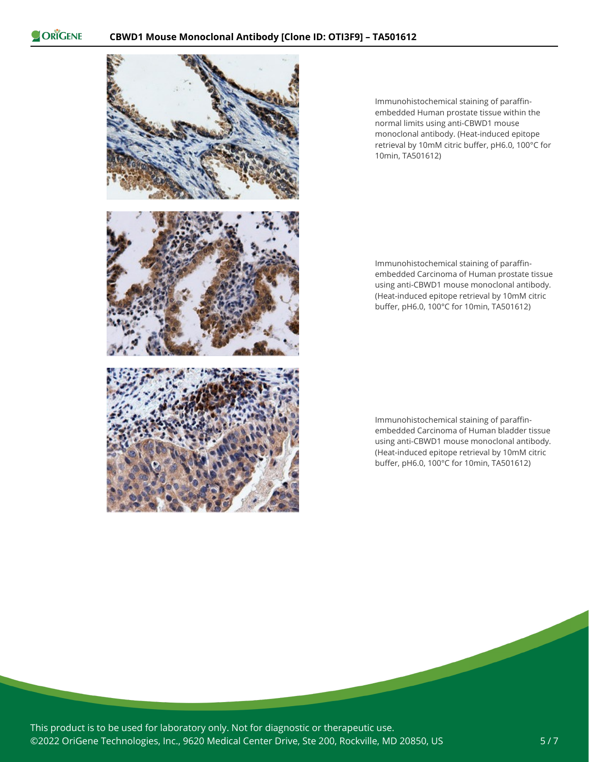

Immunohistochemical staining of paraffinembedded Human prostate tissue within the normal limits using anti-CBWD1 mouse monoclonal antibody. (Heat-induced epitope retrieval by 10mM citric buffer, pH6.0, 100°C for 10min, TA501612)

Immunohistochemical staining of paraffinembedded Carcinoma of Human prostate tissue using anti-CBWD1 mouse monoclonal antibody. (Heat-induced epitope retrieval by 10mM citric buffer, pH6.0, 100°C for 10min, TA501612)

Immunohistochemical staining of paraffinembedded Carcinoma of Human bladder tissue using anti-CBWD1 mouse monoclonal antibody. (Heat-induced epitope retrieval by 10mM citric buffer, pH6.0, 100°C for 10min, TA501612)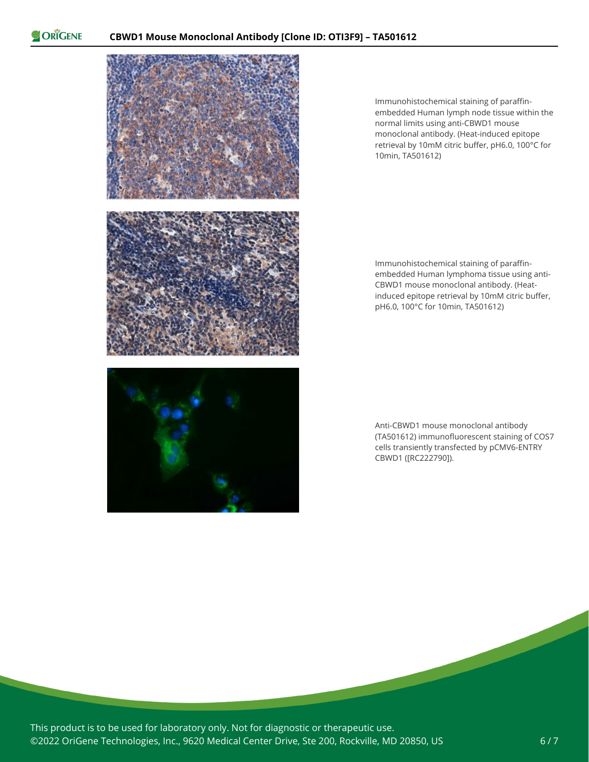



Immunohistochemical staining of paraffinembedded Human lymph node tissue within the normal limits using anti-CBWD1 mouse monoclonal antibody. (Heat-induced epitope retrieval by 10mM citric buffer, pH6.0, 100°C for 10min, TA501612)

Immunohistochemical staining of paraffinembedded Human lymphoma tissue using anti-CBWD1 mouse monoclonal antibody. (Heatinduced epitope retrieval by 10mM citric buffer, pH6.0, 100°C for 10min, TA501612)

Anti-CBWD1 mouse monoclonal antibody (TA501612) immunofluorescent staining of COS7 cells transiently transfected by pCMV6-ENTRY CBWD1 ([RC222790]).